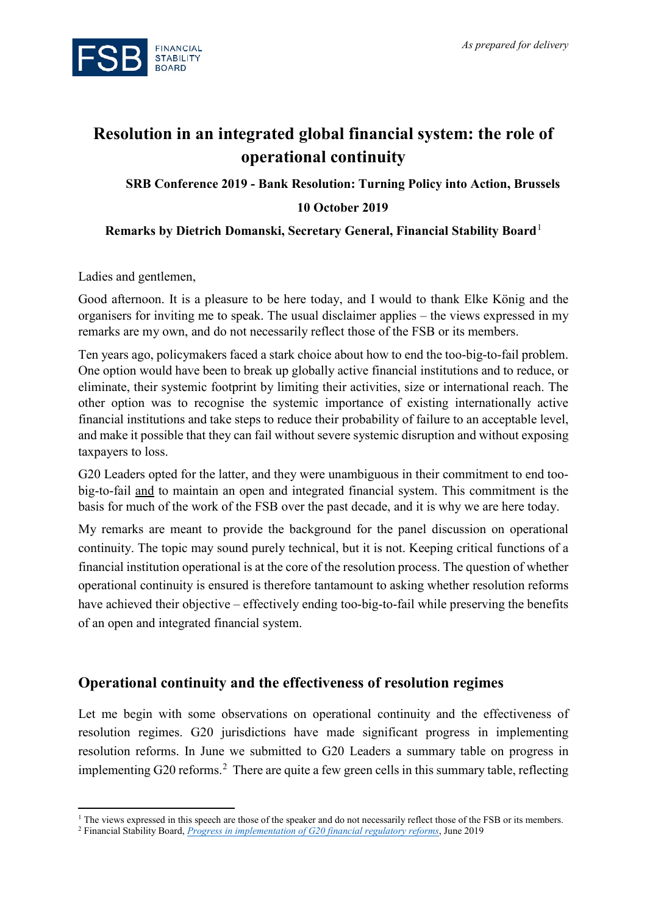

# **Resolution in an integrated global financial system: the role of operational continuity**

**SRB Conference 2019 - Bank Resolution: Turning Policy into Action, Brussels**

#### **10 October 2019**

#### **Remarks by Dietrich Domanski, Secretary General, Financial Stability Board**[1](#page-0-0)

Ladies and gentlemen,

 $\overline{\phantom{a}}$ 

Good afternoon. It is a pleasure to be here today, and I would to thank Elke König and the organisers for inviting me to speak. The usual disclaimer applies – the views expressed in my remarks are my own, and do not necessarily reflect those of the FSB or its members.

Ten years ago, policymakers faced a stark choice about how to end the too-big-to-fail problem. One option would have been to break up globally active financial institutions and to reduce, or eliminate, their systemic footprint by limiting their activities, size or international reach. The other option was to recognise the systemic importance of existing internationally active financial institutions and take steps to reduce their probability of failure to an acceptable level, and make it possible that they can fail without severe systemic disruption and without exposing taxpayers to loss.

G20 Leaders opted for the latter, and they were unambiguous in their commitment to end toobig-to-fail and to maintain an open and integrated financial system. This commitment is the basis for much of the work of the FSB over the past decade, and it is why we are here today.

My remarks are meant to provide the background for the panel discussion on operational continuity. The topic may sound purely technical, but it is not. Keeping critical functions of a financial institution operational is at the core of the resolution process. The question of whether operational continuity is ensured is therefore tantamount to asking whether resolution reforms have achieved their objective – effectively ending too-big-to-fail while preserving the benefits of an open and integrated financial system.

## **Operational continuity and the effectiveness of resolution regimes**

Let me begin with some observations on operational continuity and the effectiveness of resolution regimes. G20 jurisdictions have made significant progress in implementing resolution reforms. In June we submitted to G20 Leaders a summary table on progress in implementing G[2](#page-0-1)0 reforms.<sup>2</sup> There are quite a few green cells in this summary table, reflecting

<span id="page-0-0"></span><sup>&</sup>lt;sup>1</sup> The views expressed in this speech are those of the speaker and do not necessarily reflect those of the FSB or its members.

<span id="page-0-1"></span><sup>2</sup> Financial Stability Board, *[Progress in implementation of G20 financial regulatory reforms](https://www.fsb.org/2019/06/progress-in-implementation-of-g20-financial-regulatory-reforms/)*, June 2019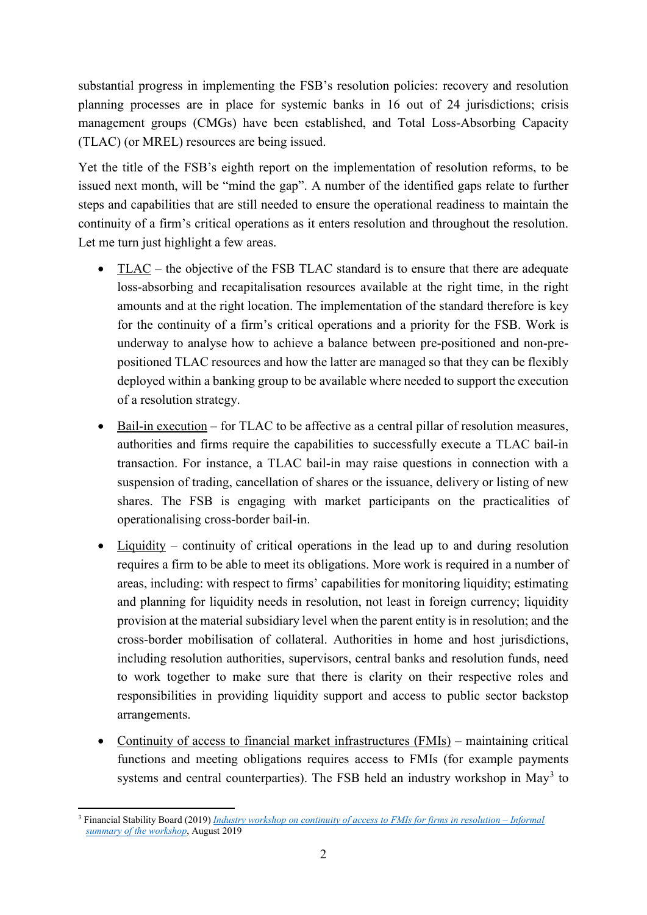substantial progress in implementing the FSB's resolution policies: recovery and resolution planning processes are in place for systemic banks in 16 out of 24 jurisdictions; crisis management groups (CMGs) have been established, and Total Loss-Absorbing Capacity (TLAC) (or MREL) resources are being issued.

Yet the title of the FSB's eighth report on the implementation of resolution reforms, to be issued next month, will be "mind the gap". A number of the identified gaps relate to further steps and capabilities that are still needed to ensure the operational readiness to maintain the continuity of a firm's critical operations as it enters resolution and throughout the resolution. Let me turn just highlight a few areas.

- TLAC the objective of the FSB TLAC standard is to ensure that there are adequate loss-absorbing and recapitalisation resources available at the right time, in the right amounts and at the right location. The implementation of the standard therefore is key for the continuity of a firm's critical operations and a priority for the FSB. Work is underway to analyse how to achieve a balance between pre-positioned and non-prepositioned TLAC resources and how the latter are managed so that they can be flexibly deployed within a banking group to be available where needed to support the execution of a resolution strategy.
- Bail-in execution for TLAC to be affective as a central pillar of resolution measures, authorities and firms require the capabilities to successfully execute a TLAC bail-in transaction. For instance, a TLAC bail-in may raise questions in connection with a suspension of trading, cancellation of shares or the issuance, delivery or listing of new shares. The FSB is engaging with market participants on the practicalities of operationalising cross-border bail-in.
- Liquidity continuity of critical operations in the lead up to and during resolution requires a firm to be able to meet its obligations. More work is required in a number of areas, including: with respect to firms' capabilities for monitoring liquidity; estimating and planning for liquidity needs in resolution, not least in foreign currency; liquidity provision at the material subsidiary level when the parent entity is in resolution; and the cross-border mobilisation of collateral. Authorities in home and host jurisdictions, including resolution authorities, supervisors, central banks and resolution funds, need to work together to make sure that there is clarity on their respective roles and responsibilities in providing liquidity support and access to public sector backstop arrangements.
- Continuity of access to financial market infrastructures (FMIs) maintaining critical functions and meeting obligations requires access to FMIs (for example payments systems and central counterparties). The FSB held an industry workshop in  $May<sup>3</sup>$  $May<sup>3</sup>$  $May<sup>3</sup>$  to

<span id="page-1-0"></span> $\overline{\phantom{a}}$ <sup>3</sup> Financial Stability Board (2019) *[Industry workshop on continuity of access to FMIs for firms in resolution –](https://www.fsb.org/wp-content/uploads/P280819.pdf) Informal [summary of the workshop](https://www.fsb.org/wp-content/uploads/P280819.pdf)*, August 2019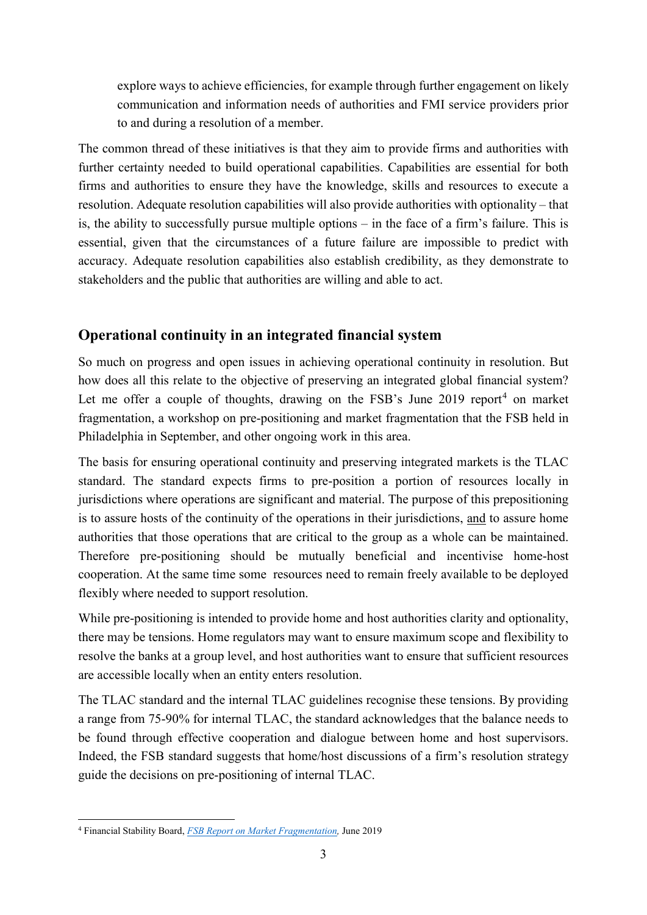explore ways to achieve efficiencies, for example through further engagement on likely communication and information needs of authorities and FMI service providers prior to and during a resolution of a member.

The common thread of these initiatives is that they aim to provide firms and authorities with further certainty needed to build operational capabilities. Capabilities are essential for both firms and authorities to ensure they have the knowledge, skills and resources to execute a resolution. Adequate resolution capabilities will also provide authorities with optionality – that is, the ability to successfully pursue multiple options – in the face of a firm's failure. This is essential, given that the circumstances of a future failure are impossible to predict with accuracy. Adequate resolution capabilities also establish credibility, as they demonstrate to stakeholders and the public that authorities are willing and able to act.

# **Operational continuity in an integrated financial system**

So much on progress and open issues in achieving operational continuity in resolution. But how does all this relate to the objective of preserving an integrated global financial system? Let me offer a couple of thoughts, drawing on the FSB's June 2019 report<sup>[4](#page-2-0)</sup> on market fragmentation, a workshop on pre-positioning and market fragmentation that the FSB held in Philadelphia in September, and other ongoing work in this area.

The basis for ensuring operational continuity and preserving integrated markets is the TLAC standard. The standard expects firms to pre-position a portion of resources locally in jurisdictions where operations are significant and material. The purpose of this prepositioning is to assure hosts of the continuity of the operations in their jurisdictions, and to assure home authorities that those operations that are critical to the group as a whole can be maintained. Therefore pre-positioning should be mutually beneficial and incentivise home-host cooperation. At the same time some resources need to remain freely available to be deployed flexibly where needed to support resolution.

While pre-positioning is intended to provide home and host authorities clarity and optionality, there may be tensions. Home regulators may want to ensure maximum scope and flexibility to resolve the banks at a group level, and host authorities want to ensure that sufficient resources are accessible locally when an entity enters resolution.

The TLAC standard and the internal TLAC guidelines recognise these tensions. By providing a range from 75-90% for internal TLAC, the standard acknowledges that the balance needs to be found through effective cooperation and dialogue between home and host supervisors. Indeed, the FSB standard suggests that home/host discussions of a firm's resolution strategy guide the decisions on pre-positioning of internal TLAC.

 $\overline{\phantom{a}}$ 

<span id="page-2-0"></span><sup>4</sup> Financial Stability Board, *[FSB Report on Market Fragmentation,](https://www.fsb.org/2019/06/fsb-report-on-market-fragmentation-2/)* June 2019